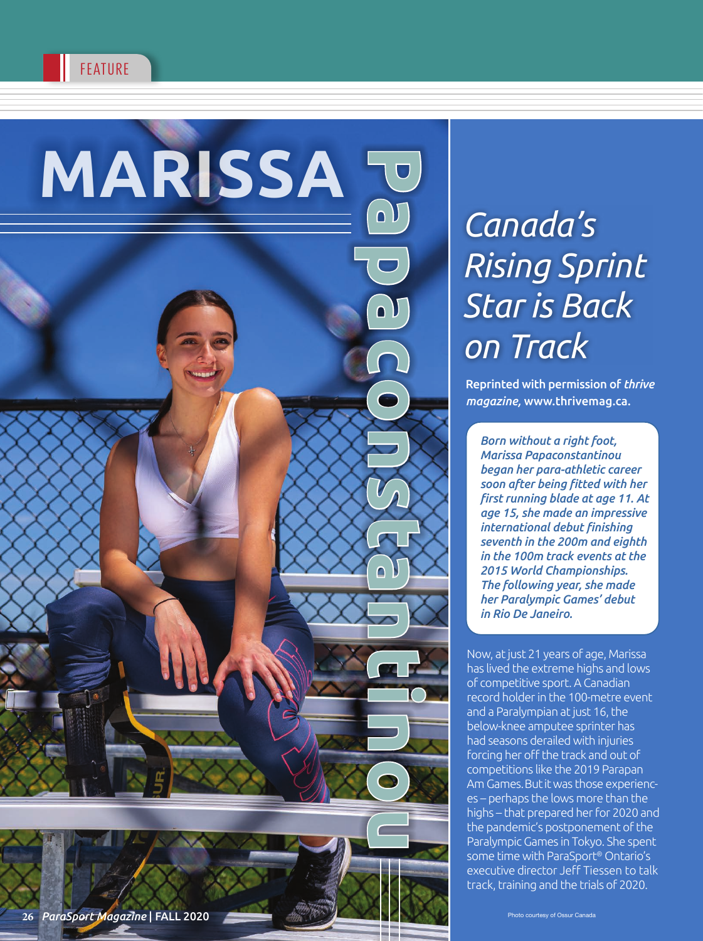

# *Canada's Rising Sprint Star is Back on Track*

Reprinted with permission of *thrive magazine,* www.thrivemag.ca.

*Born without a right foot, Marissa Papaconstantinou began her para-athletic career soon after being fitted with her first running blade at age 11. At age 15, she made an impressive international debut finishing seventh in the 200m and eighth in the 100m track events at the 2015 World Championships. The following year, she made her Paralympic Games' debut in Rio De Janeiro.*

Now, at just 21 years of age, Marissa has lived the extreme highs and lows of competitive sport. A Canadian record holder in the 100-metre event and a Paralympian at just 16, the below-knee amputee sprinter has had seasons derailed with injuries forcing her off the track and out of competitions like the 2019 Parapan Am Games. But it was those experiences – perhaps the lows more than the highs – that prepared her for 2020 and the pandemic's postponement of the Paralympic Games in Tokyo. She spent some time with ParaSport ® Ontario's executive director Jeff Tiessen to talk track, training and the trials of 2020.

Photo courtesy of Ossur Canada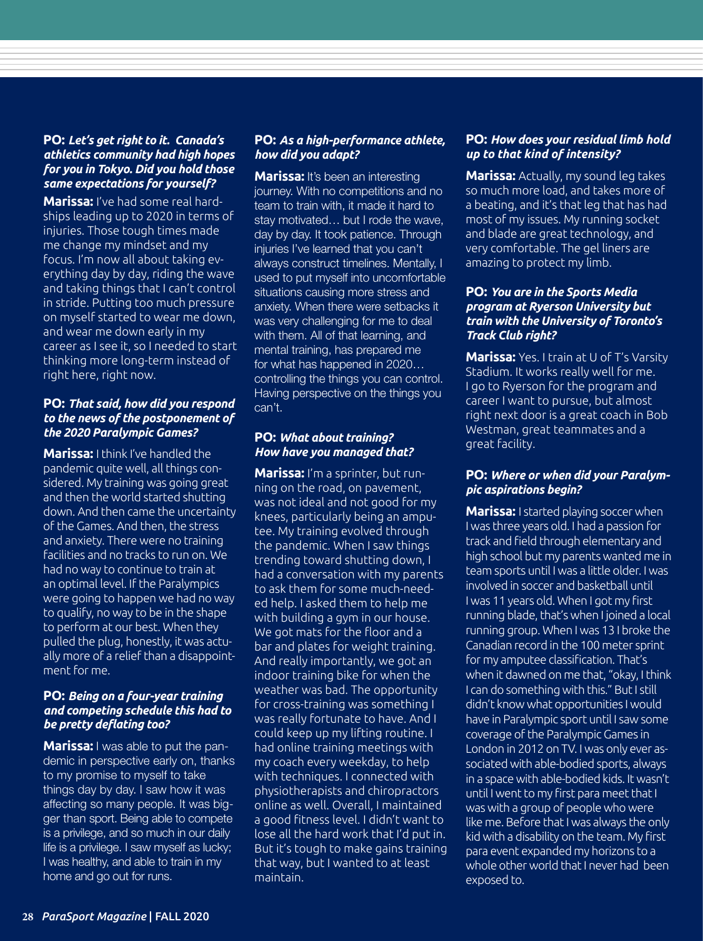## **PO:** *Let's get right to it. Canada's athletics community had high hopes for you in Tokyo. Did you hold those same expectations for yourself?*

**Marissa:** I've had some real hardships leading up to 2020 in terms of injuries. Those tough times made me change my mindset and my focus. I'm now all about taking everything day by day, riding the wave and taking things that I can't control in stride. Putting too much pressure on myself started to wear me down, and wear me down early in my career as I see it, so I needed to start thinking more long-term instead of right here, right now.

#### **PO:** *That said, how did you respond to the news of the postponement of the 2020 Paralympic Games?*

**Marissa:** I think I've handled the pandemic quite well, all things considered. My training was going great and then the world started shutting down. And then came the uncertainty of the Games. And then, the stress and anxiety. There were no training facilities and no tracks to run on. We had no way to continue to train at an optimal level. If the Paralympics were going to happen we had no way to qualify, no way to be in the shape to perform at our best. When they pulled the plug, honestly, it was actually more of a relief than a disappointment for me.

#### **PO:** *Being on a four-year training and competing schedule this had to be pretty deflating too?*

**Marissa:** I was able to put the pandemic in perspective early on, thanks to my promise to myself to take things day by day. I saw how it was affecting so many people. It was bigger than sport. Being able to compete is a privilege, and so much in our daily life is a privilege. I saw myself as lucky; I was healthy, and able to train in my home and go out for runs.

## **PO:** *As a high-performance athlete, how did you adapt?*

**Marissa:** It's been an interesting journey. With no competitions and no team to train with, it made it hard to stay motivated… but I rode the wave, day by day. It took patience. Through injuries I've learned that you can't always construct timelines. Mentally, I used to put myself into uncomfortable situations causing more stress and anxiety. When there were setbacks it was very challenging for me to deal with them. All of that learning, and mental training, has prepared me for what has happened in 2020… controlling the things you can control. Having perspective on the things you can't.

## **PO:** *What about training? How have you managed that?*

**Marissa:** I'm a sprinter, but running on the road, on pavement, was not ideal and not good for my knees, particularly being an amputee. My training evolved through the pandemic. When I saw things trending toward shutting down, I had a conversation with my parents to ask them for some much-needed help. I asked them to help me with building a gym in our house. We got mats for the floor and a bar and plates for weight training. And really importantly, we got an indoor training bike for when the weather was bad. The opportunity for cross-training was something I was really fortunate to have. And I could keep up my lifting routine. I had online training meetings with my coach every weekday, to help with techniques. I connected with physiotherapists and chiropractors online as well. Overall, I maintained a good fitness level. I didn't want to lose all the hard work that I'd put in. But it's tough to make gains training that way, but I wanted to at least maintain.

#### **PO:** *How does your residual limb hold up to that kind of intensity?*

**Marissa:** Actually, my sound leg takes so much more load, and takes more of a beating, and it's that leg that has had most of my issues. My running socket and blade are great technology, and very comfortable. The gel liners are amazing to protect my limb.

#### **PO:** *You are in the Sports Media program at Ryerson University but train with the University of Toronto's Track Club right?*

**Marissa:** Yes. I train at U of T's Varsity Stadium. It works really well for me. I go to Ryerson for the program and career I want to pursue, but almost right next door is a great coach in Bob Westman, great teammates and a great facility.

## **PO:** *Where or when did your Paralympic aspirations begin?*

**Marissa:** I started playing soccer when I was three years old. I had a passion for track and field through elementary and high school but my parents wanted me in team sports until I was a little older. I was involved in soccer and basketball until I was 11 years old. When I got my first running blade, that's when I joined a local running group. When I was 13 I broke the Canadian record in the 100 meter sprint for my amputee classification. That's when it dawned on me that, "okay, I think I can do something with this." But I still didn't know what opportunities I would have in Paralympic sport until I saw some coverage of the Paralympic Games in London in 2012 on TV. I was only ever associated with able-bodied sports, always in a space with able-bodied kids. It wasn't until I went to my first para meet that I was with a group of people who were like me. Before that I was always the only kid with a disability on the team. My first para event expanded my horizons to a whole other world that I never had been exposed to.